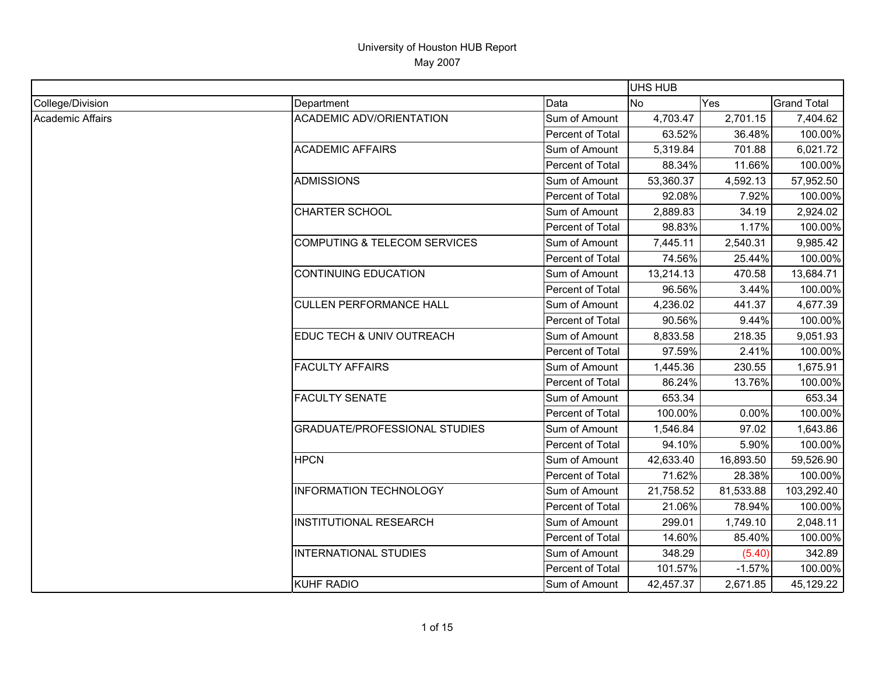|                  |                                         |                  | <b>UHS HUB</b> |           |                    |
|------------------|-----------------------------------------|------------------|----------------|-----------|--------------------|
| College/Division | Department                              | Data             | <b>No</b>      | Yes       | <b>Grand Total</b> |
| Academic Affairs | <b>ACADEMIC ADV/ORIENTATION</b>         | Sum of Amount    | 4,703.47       | 2,701.15  | 7,404.62           |
|                  |                                         | Percent of Total | 63.52%         | 36.48%    | 100.00%            |
|                  | <b>ACADEMIC AFFAIRS</b>                 | Sum of Amount    | 5,319.84       | 701.88    | 6,021.72           |
|                  |                                         | Percent of Total | 88.34%         | 11.66%    | 100.00%            |
|                  | <b>ADMISSIONS</b>                       | Sum of Amount    | 53,360.37      | 4,592.13  | 57,952.50          |
|                  |                                         | Percent of Total | 92.08%         | 7.92%     | 100.00%            |
|                  | <b>CHARTER SCHOOL</b>                   | Sum of Amount    | 2,889.83       | 34.19     | 2,924.02           |
|                  |                                         | Percent of Total | 98.83%         | 1.17%     | 100.00%            |
|                  | <b>COMPUTING &amp; TELECOM SERVICES</b> | Sum of Amount    | 7,445.11       | 2,540.31  | 9,985.42           |
|                  |                                         | Percent of Total | 74.56%         | 25.44%    | 100.00%            |
|                  | <b>CONTINUING EDUCATION</b>             | Sum of Amount    | 13,214.13      | 470.58    | 13,684.71          |
|                  |                                         | Percent of Total | 96.56%         | 3.44%     | 100.00%            |
|                  | <b>CULLEN PERFORMANCE HALL</b>          | Sum of Amount    | 4,236.02       | 441.37    | 4,677.39           |
|                  |                                         | Percent of Total | 90.56%         | 9.44%     | 100.00%            |
|                  | EDUC TECH & UNIV OUTREACH               | Sum of Amount    | 8,833.58       | 218.35    | 9,051.93           |
|                  |                                         | Percent of Total | 97.59%         | 2.41%     | 100.00%            |
|                  | <b>FACULTY AFFAIRS</b>                  | Sum of Amount    | 1,445.36       | 230.55    | 1,675.91           |
|                  |                                         | Percent of Total | 86.24%         | 13.76%    | 100.00%            |
|                  | <b>FACULTY SENATE</b>                   | Sum of Amount    | 653.34         |           | 653.34             |
|                  |                                         | Percent of Total | 100.00%        | 0.00%     | 100.00%            |
|                  | <b>GRADUATE/PROFESSIONAL STUDIES</b>    | Sum of Amount    | 1,546.84       | 97.02     | 1,643.86           |
|                  |                                         | Percent of Total | 94.10%         | 5.90%     | 100.00%            |
|                  | <b>HPCN</b>                             | Sum of Amount    | 42,633.40      | 16,893.50 | 59,526.90          |
|                  |                                         | Percent of Total | 71.62%         | 28.38%    | 100.00%            |
|                  | <b>INFORMATION TECHNOLOGY</b>           | Sum of Amount    | 21,758.52      | 81,533.88 | 103,292.40         |
|                  |                                         | Percent of Total | 21.06%         | 78.94%    | 100.00%            |
|                  | <b>INSTITUTIONAL RESEARCH</b>           | Sum of Amount    | 299.01         | 1,749.10  | 2,048.11           |
|                  |                                         | Percent of Total | 14.60%         | 85.40%    | 100.00%            |
|                  | <b>INTERNATIONAL STUDIES</b>            | Sum of Amount    | 348.29         | (5.40)    | 342.89             |
|                  |                                         | Percent of Total | 101.57%        | $-1.57%$  | 100.00%            |
|                  | <b>KUHF RADIO</b>                       | Sum of Amount    | 42,457.37      | 2,671.85  | 45,129.22          |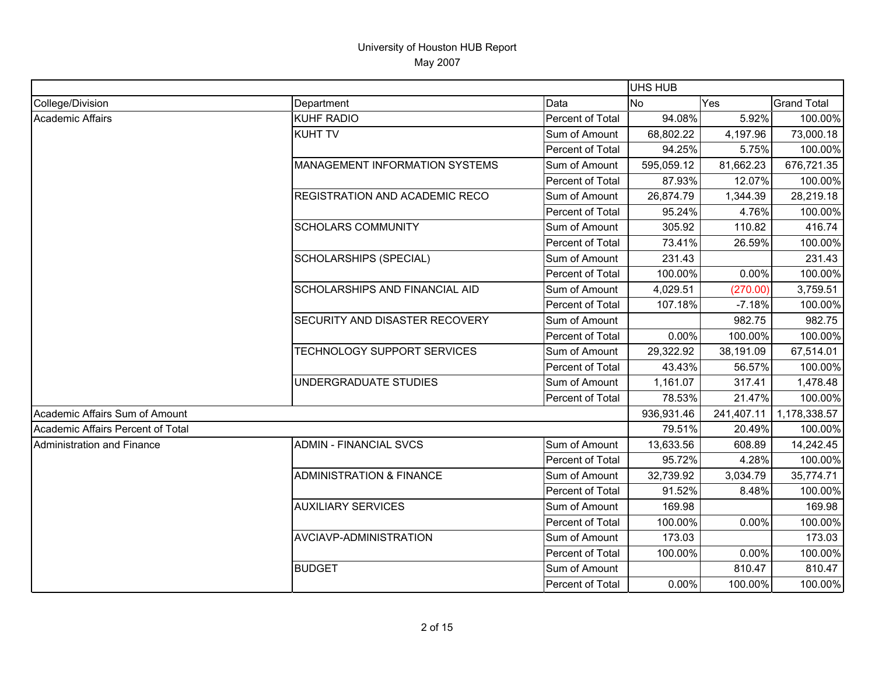|                                   |                                     |                  | UHS HUB    |            |                    |
|-----------------------------------|-------------------------------------|------------------|------------|------------|--------------------|
| College/Division                  | Department                          | Data             | <b>No</b>  | Yes        | <b>Grand Total</b> |
| <b>Academic Affairs</b>           | <b>KUHF RADIO</b>                   | Percent of Total | 94.08%     | 5.92%      | 100.00%            |
|                                   | <b>KUHT TV</b>                      | Sum of Amount    | 68,802.22  | 4,197.96   | 73,000.18          |
|                                   |                                     | Percent of Total | 94.25%     | 5.75%      | 100.00%            |
|                                   | MANAGEMENT INFORMATION SYSTEMS      | Sum of Amount    | 595,059.12 | 81,662.23  | 676,721.35         |
|                                   |                                     | Percent of Total | 87.93%     | 12.07%     | 100.00%            |
|                                   | REGISTRATION AND ACADEMIC RECO      | Sum of Amount    | 26,874.79  | 1,344.39   | 28,219.18          |
|                                   |                                     | Percent of Total | 95.24%     | 4.76%      | 100.00%            |
|                                   | <b>SCHOLARS COMMUNITY</b>           | Sum of Amount    | 305.92     | 110.82     | 416.74             |
|                                   |                                     | Percent of Total | 73.41%     | 26.59%     | 100.00%            |
|                                   | SCHOLARSHIPS (SPECIAL)              | Sum of Amount    | 231.43     |            | 231.43             |
|                                   |                                     | Percent of Total | 100.00%    | 0.00%      | 100.00%            |
|                                   | SCHOLARSHIPS AND FINANCIAL AID      | Sum of Amount    | 4,029.51   | (270.00)   | 3,759.51           |
|                                   |                                     | Percent of Total | 107.18%    | $-7.18%$   | 100.00%            |
|                                   | SECURITY AND DISASTER RECOVERY      | Sum of Amount    |            | 982.75     | 982.75             |
|                                   |                                     | Percent of Total | 0.00%      | 100.00%    | 100.00%            |
|                                   | TECHNOLOGY SUPPORT SERVICES         | Sum of Amount    | 29,322.92  | 38,191.09  | 67,514.01          |
|                                   |                                     | Percent of Total | 43.43%     | 56.57%     | 100.00%            |
|                                   | UNDERGRADUATE STUDIES               | Sum of Amount    | 1,161.07   | 317.41     | 1,478.48           |
|                                   |                                     | Percent of Total | 78.53%     | 21.47%     | 100.00%            |
| Academic Affairs Sum of Amount    |                                     |                  | 936,931.46 | 241,407.11 | 1,178,338.57       |
| Academic Affairs Percent of Total |                                     |                  | 79.51%     | 20.49%     | 100.00%            |
| Administration and Finance        | <b>ADMIN - FINANCIAL SVCS</b>       | Sum of Amount    | 13,633.56  | 608.89     | 14,242.45          |
|                                   |                                     | Percent of Total | 95.72%     | 4.28%      | 100.00%            |
|                                   | <b>ADMINISTRATION &amp; FINANCE</b> | Sum of Amount    | 32,739.92  | 3,034.79   | 35,774.71          |
|                                   |                                     | Percent of Total | 91.52%     | 8.48%      | 100.00%            |
|                                   | <b>AUXILIARY SERVICES</b>           | Sum of Amount    | 169.98     |            | 169.98             |
|                                   |                                     | Percent of Total | 100.00%    | 0.00%      | 100.00%            |
|                                   | AVCIAVP-ADMINISTRATION              | Sum of Amount    | 173.03     |            | 173.03             |
|                                   |                                     | Percent of Total | 100.00%    | 0.00%      | 100.00%            |
|                                   | <b>BUDGET</b>                       | Sum of Amount    |            | 810.47     | 810.47             |
|                                   |                                     | Percent of Total | 0.00%      | 100.00%    | 100.00%            |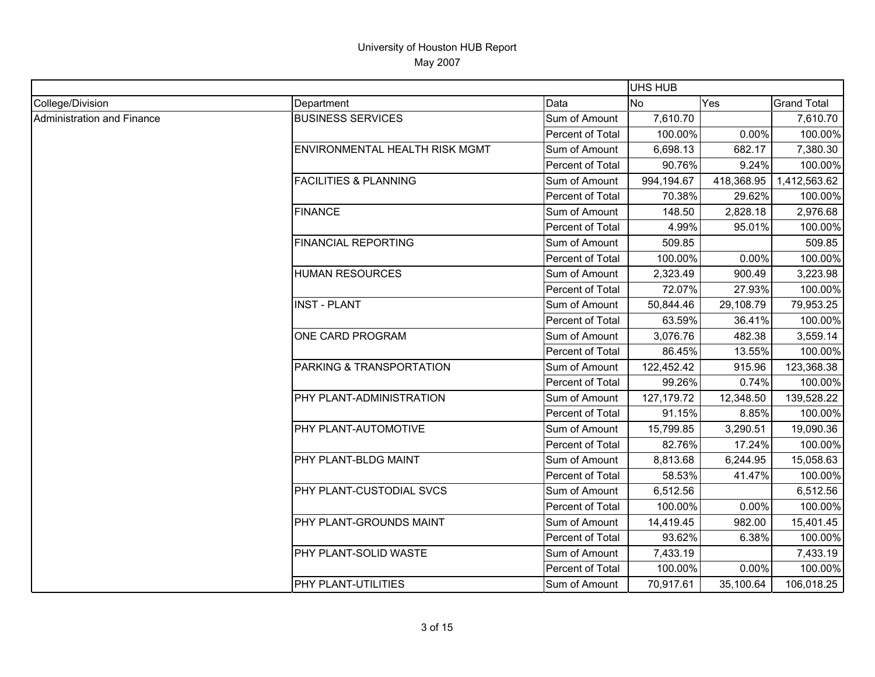|                            |                                  |                  | <b>UHS HUB</b> |            |                    |
|----------------------------|----------------------------------|------------------|----------------|------------|--------------------|
| College/Division           | Department                       | Data             | <b>No</b>      | Yes        | <b>Grand Total</b> |
| Administration and Finance | <b>BUSINESS SERVICES</b>         | Sum of Amount    | 7,610.70       |            | 7,610.70           |
|                            |                                  | Percent of Total | 100.00%        | 0.00%      | 100.00%            |
|                            | ENVIRONMENTAL HEALTH RISK MGMT   | Sum of Amount    | 6,698.13       | 682.17     | 7,380.30           |
|                            |                                  | Percent of Total | 90.76%         | 9.24%      | 100.00%            |
|                            | <b>FACILITIES &amp; PLANNING</b> | Sum of Amount    | 994,194.67     | 418,368.95 | 1,412,563.62       |
|                            |                                  | Percent of Total | 70.38%         | 29.62%     | 100.00%            |
|                            | <b>FINANCE</b>                   | Sum of Amount    | 148.50         | 2,828.18   | 2,976.68           |
|                            |                                  | Percent of Total | 4.99%          | 95.01%     | 100.00%            |
|                            | <b>FINANCIAL REPORTING</b>       | Sum of Amount    | 509.85         |            | 509.85             |
|                            |                                  | Percent of Total | 100.00%        | 0.00%      | 100.00%            |
|                            | <b>HUMAN RESOURCES</b>           | Sum of Amount    | 2,323.49       | 900.49     | 3,223.98           |
|                            |                                  | Percent of Total | 72.07%         | 27.93%     | 100.00%            |
|                            | <b>INST - PLANT</b>              | Sum of Amount    | 50,844.46      | 29,108.79  | 79,953.25          |
|                            |                                  | Percent of Total | 63.59%         | 36.41%     | 100.00%            |
|                            | ONE CARD PROGRAM                 | Sum of Amount    | 3,076.76       | 482.38     | 3,559.14           |
|                            |                                  | Percent of Total | 86.45%         | 13.55%     | 100.00%            |
|                            | PARKING & TRANSPORTATION         | Sum of Amount    | 122,452.42     | 915.96     | 123,368.38         |
|                            |                                  | Percent of Total | 99.26%         | 0.74%      | 100.00%            |
|                            | PHY PLANT-ADMINISTRATION         | Sum of Amount    | 127, 179. 72   | 12,348.50  | 139,528.22         |
|                            |                                  | Percent of Total | 91.15%         | 8.85%      | 100.00%            |
|                            | PHY PLANT-AUTOMOTIVE             | Sum of Amount    | 15,799.85      | 3,290.51   | 19,090.36          |
|                            |                                  | Percent of Total | 82.76%         | 17.24%     | 100.00%            |
|                            | PHY PLANT-BLDG MAINT             | Sum of Amount    | 8,813.68       | 6,244.95   | 15,058.63          |
|                            |                                  | Percent of Total | 58.53%         | 41.47%     | 100.00%            |
|                            | PHY PLANT-CUSTODIAL SVCS         | Sum of Amount    | 6,512.56       |            | 6,512.56           |
|                            |                                  | Percent of Total | 100.00%        | 0.00%      | 100.00%            |
|                            | PHY PLANT-GROUNDS MAINT          | Sum of Amount    | 14,419.45      | 982.00     | 15,401.45          |
|                            |                                  | Percent of Total | 93.62%         | 6.38%      | 100.00%            |
|                            | PHY PLANT-SOLID WASTE            | Sum of Amount    | 7,433.19       |            | 7,433.19           |
|                            |                                  | Percent of Total | 100.00%        | 0.00%      | 100.00%            |
|                            | PHY PLANT-UTILITIES              | Sum of Amount    | 70,917.61      | 35,100.64  | 106,018.25         |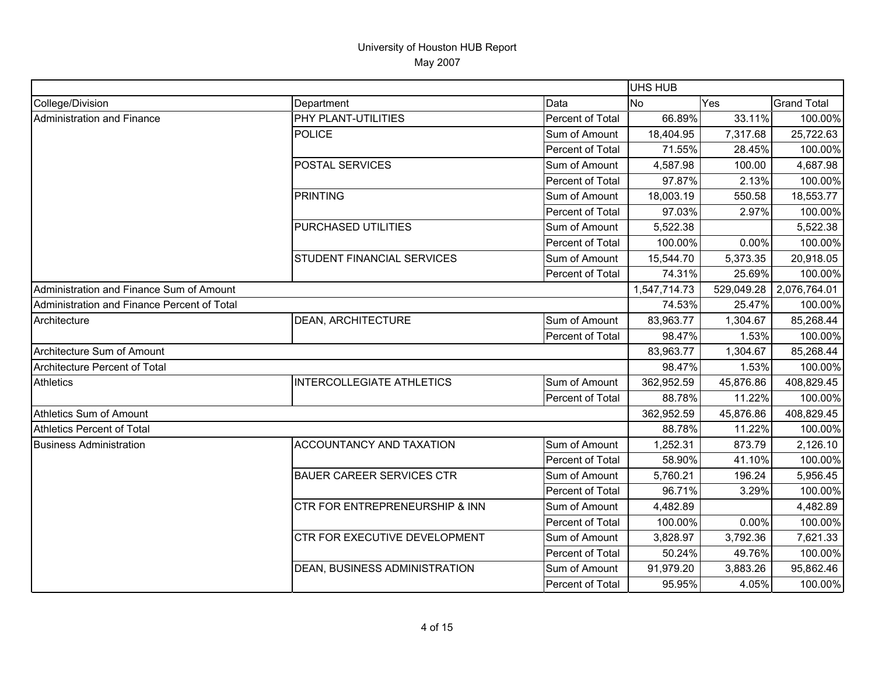|                                             |                                      |                  | UHS HUB      |            |                    |
|---------------------------------------------|--------------------------------------|------------------|--------------|------------|--------------------|
| College/Division                            | Department                           | Data             | <b>No</b>    | Yes        | <b>Grand Total</b> |
| Administration and Finance                  | PHY PLANT-UTILITIES                  | Percent of Total | 66.89%       | 33.11%     | 100.00%            |
|                                             | <b>POLICE</b>                        | Sum of Amount    | 18,404.95    | 7,317.68   | 25,722.63          |
|                                             |                                      | Percent of Total | 71.55%       | 28.45%     | 100.00%            |
|                                             | POSTAL SERVICES                      | Sum of Amount    | 4,587.98     | 100.00     | 4,687.98           |
|                                             |                                      | Percent of Total | 97.87%       | 2.13%      | 100.00%            |
|                                             | <b>PRINTING</b>                      | Sum of Amount    | 18,003.19    | 550.58     | 18,553.77          |
|                                             |                                      | Percent of Total | 97.03%       | 2.97%      | 100.00%            |
|                                             | PURCHASED UTILITIES                  | Sum of Amount    | 5,522.38     |            | 5,522.38           |
|                                             |                                      | Percent of Total | 100.00%      | 0.00%      | 100.00%            |
|                                             | <b>STUDENT FINANCIAL SERVICES</b>    | Sum of Amount    | 15,544.70    | 5,373.35   | 20,918.05          |
|                                             |                                      | Percent of Total | 74.31%       | 25.69%     | 100.00%            |
| Administration and Finance Sum of Amount    |                                      |                  | 1,547,714.73 | 529,049.28 | 2,076,764.01       |
| Administration and Finance Percent of Total |                                      |                  | 74.53%       | 25.47%     | 100.00%            |
| Architecture                                | <b>DEAN, ARCHITECTURE</b>            | Sum of Amount    | 83,963.77    | 1,304.67   | 85,268.44          |
|                                             |                                      | Percent of Total | 98.47%       | 1.53%      | 100.00%            |
| Architecture Sum of Amount                  |                                      |                  | 83,963.77    | 1,304.67   | 85,268.44          |
| Architecture Percent of Total               |                                      |                  | 98.47%       | 1.53%      | 100.00%            |
| <b>Athletics</b>                            | <b>INTERCOLLEGIATE ATHLETICS</b>     | Sum of Amount    | 362,952.59   | 45,876.86  | 408,829.45         |
|                                             |                                      | Percent of Total | 88.78%       | 11.22%     | 100.00%            |
| Athletics Sum of Amount                     |                                      |                  | 362,952.59   | 45,876.86  | 408,829.45         |
| Athletics Percent of Total                  |                                      |                  | 88.78%       | 11.22%     | 100.00%            |
| <b>Business Administration</b>              | ACCOUNTANCY AND TAXATION             | Sum of Amount    | 1,252.31     | 873.79     | 2,126.10           |
|                                             |                                      | Percent of Total | 58.90%       | 41.10%     | 100.00%            |
|                                             | <b>BAUER CAREER SERVICES CTR</b>     | Sum of Amount    | 5,760.21     | 196.24     | 5,956.45           |
|                                             |                                      | Percent of Total | 96.71%       | 3.29%      | 100.00%            |
|                                             | CTR FOR ENTREPRENEURSHIP & INN       | Sum of Amount    | 4,482.89     |            | 4,482.89           |
|                                             |                                      | Percent of Total | 100.00%      | 0.00%      | 100.00%            |
|                                             | <b>CTR FOR EXECUTIVE DEVELOPMENT</b> | Sum of Amount    | 3,828.97     | 3,792.36   | 7,621.33           |
|                                             |                                      | Percent of Total | 50.24%       | 49.76%     | 100.00%            |
|                                             | <b>DEAN, BUSINESS ADMINISTRATION</b> | Sum of Amount    | 91,979.20    | 3,883.26   | 95,862.46          |
|                                             |                                      | Percent of Total | 95.95%       | 4.05%      | 100.00%            |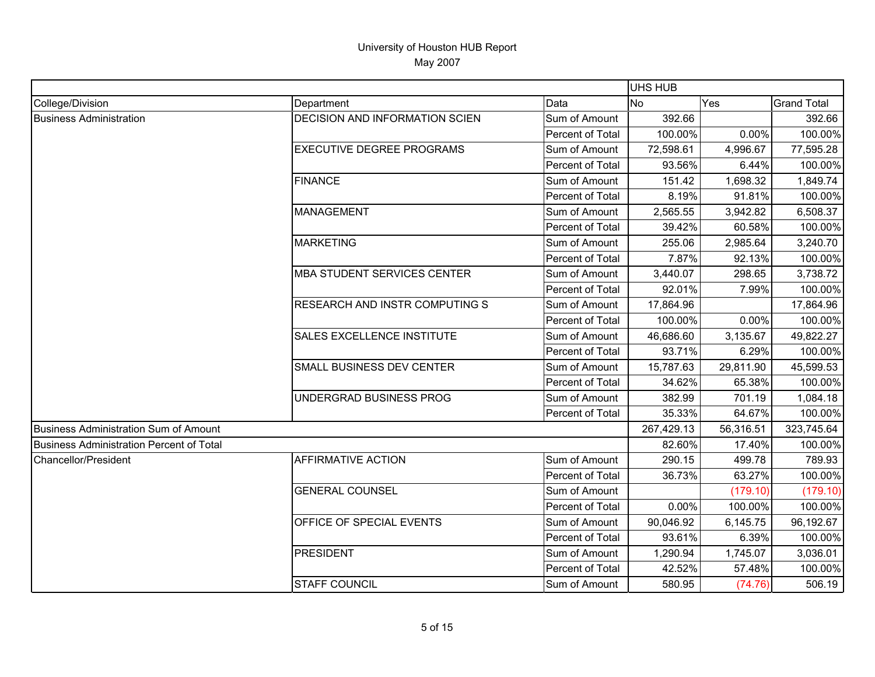|                                                 |                                  |                  | UHS HUB    |           |                    |
|-------------------------------------------------|----------------------------------|------------------|------------|-----------|--------------------|
| College/Division                                | Department                       | Data             | <b>No</b>  | Yes       | <b>Grand Total</b> |
| <b>Business Administration</b>                  | DECISION AND INFORMATION SCIEN   | Sum of Amount    | 392.66     |           | 392.66             |
|                                                 |                                  | Percent of Total | 100.00%    | 0.00%     | 100.00%            |
|                                                 | <b>EXECUTIVE DEGREE PROGRAMS</b> | Sum of Amount    | 72,598.61  | 4,996.67  | 77,595.28          |
|                                                 |                                  | Percent of Total | 93.56%     | 6.44%     | 100.00%            |
|                                                 | <b>FINANCE</b>                   | Sum of Amount    | 151.42     | 1,698.32  | 1,849.74           |
|                                                 |                                  | Percent of Total | 8.19%      | 91.81%    | 100.00%            |
|                                                 | <b>MANAGEMENT</b>                | Sum of Amount    | 2,565.55   | 3,942.82  | 6,508.37           |
|                                                 |                                  | Percent of Total | 39.42%     | 60.58%    | 100.00%            |
|                                                 | <b>MARKETING</b>                 | Sum of Amount    | 255.06     | 2,985.64  | 3,240.70           |
|                                                 |                                  | Percent of Total | 7.87%      | 92.13%    | 100.00%            |
|                                                 | MBA STUDENT SERVICES CENTER      | Sum of Amount    | 3,440.07   | 298.65    | 3,738.72           |
|                                                 |                                  | Percent of Total | 92.01%     | 7.99%     | 100.00%            |
|                                                 | RESEARCH AND INSTR COMPUTING S   | Sum of Amount    | 17,864.96  |           | 17,864.96          |
|                                                 |                                  | Percent of Total | 100.00%    | 0.00%     | 100.00%            |
|                                                 | SALES EXCELLENCE INSTITUTE       | Sum of Amount    | 46,686.60  | 3,135.67  | 49,822.27          |
|                                                 |                                  | Percent of Total | 93.71%     | 6.29%     | 100.00%            |
|                                                 | SMALL BUSINESS DEV CENTER        | Sum of Amount    | 15,787.63  | 29,811.90 | 45,599.53          |
|                                                 |                                  | Percent of Total | 34.62%     | 65.38%    | 100.00%            |
|                                                 | UNDERGRAD BUSINESS PROG          | Sum of Amount    | 382.99     | 701.19    | 1,084.18           |
|                                                 |                                  | Percent of Total | 35.33%     | 64.67%    | 100.00%            |
| Business Administration Sum of Amount           |                                  |                  | 267,429.13 | 56,316.51 | 323,745.64         |
| <b>Business Administration Percent of Total</b> |                                  |                  | 82.60%     | 17.40%    | 100.00%            |
| Chancellor/President                            | <b>AFFIRMATIVE ACTION</b>        | Sum of Amount    | 290.15     | 499.78    | 789.93             |
|                                                 |                                  | Percent of Total | 36.73%     | 63.27%    | 100.00%            |
|                                                 | <b>GENERAL COUNSEL</b>           | Sum of Amount    |            | (179.10)  | (179.10)           |
|                                                 |                                  | Percent of Total | 0.00%      | 100.00%   | 100.00%            |
|                                                 | OFFICE OF SPECIAL EVENTS         | Sum of Amount    | 90,046.92  | 6,145.75  | 96,192.67          |
|                                                 |                                  | Percent of Total | 93.61%     | 6.39%     | 100.00%            |
|                                                 | <b>PRESIDENT</b>                 | Sum of Amount    | 1,290.94   | 1,745.07  | 3,036.01           |
|                                                 |                                  | Percent of Total | 42.52%     | 57.48%    | 100.00%            |
|                                                 | <b>STAFF COUNCIL</b>             | Sum of Amount    | 580.95     | (74.76)   | 506.19             |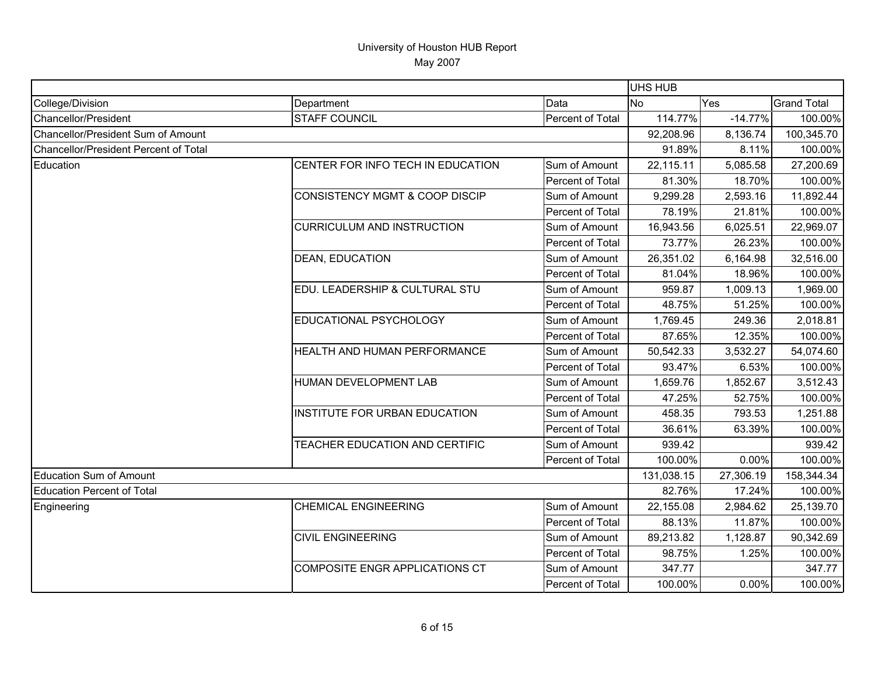|                                       |                                           |                  | <b>UHS HUB</b> |           |                    |
|---------------------------------------|-------------------------------------------|------------------|----------------|-----------|--------------------|
| College/Division                      | Department                                | Data             | <b>No</b>      | Yes       | <b>Grand Total</b> |
| Chancellor/President                  | <b>STAFF COUNCIL</b>                      | Percent of Total | 114.77%        | $-14.77%$ | 100.00%            |
| Chancellor/President Sum of Amount    |                                           |                  | 92,208.96      | 8,136.74  | 100,345.70         |
| Chancellor/President Percent of Total |                                           |                  | 91.89%         | 8.11%     | 100.00%            |
| Education                             | CENTER FOR INFO TECH IN EDUCATION         | Sum of Amount    | 22,115.11      | 5,085.58  | 27,200.69          |
|                                       |                                           | Percent of Total | 81.30%         | 18.70%    | 100.00%            |
|                                       | <b>CONSISTENCY MGMT &amp; COOP DISCIP</b> | Sum of Amount    | 9,299.28       | 2,593.16  | 11,892.44          |
|                                       |                                           | Percent of Total | 78.19%         | 21.81%    | 100.00%            |
|                                       | <b>CURRICULUM AND INSTRUCTION</b>         | Sum of Amount    | 16,943.56      | 6,025.51  | 22,969.07          |
|                                       |                                           | Percent of Total | 73.77%         | 26.23%    | 100.00%            |
|                                       | <b>DEAN, EDUCATION</b>                    | Sum of Amount    | 26,351.02      | 6,164.98  | 32,516.00          |
|                                       |                                           | Percent of Total | 81.04%         | 18.96%    | 100.00%            |
|                                       | EDU. LEADERSHIP & CULTURAL STU            | Sum of Amount    | 959.87         | 1,009.13  | 1,969.00           |
|                                       |                                           | Percent of Total | 48.75%         | 51.25%    | 100.00%            |
|                                       | EDUCATIONAL PSYCHOLOGY                    | Sum of Amount    | 1,769.45       | 249.36    | 2,018.81           |
|                                       |                                           | Percent of Total | 87.65%         | 12.35%    | 100.00%            |
|                                       | HEALTH AND HUMAN PERFORMANCE              | Sum of Amount    | 50,542.33      | 3,532.27  | 54,074.60          |
|                                       |                                           | Percent of Total | 93.47%         | 6.53%     | 100.00%            |
|                                       | HUMAN DEVELOPMENT LAB                     | Sum of Amount    | 1,659.76       | 1,852.67  | 3,512.43           |
|                                       |                                           | Percent of Total | 47.25%         | 52.75%    | 100.00%            |
|                                       | INSTITUTE FOR URBAN EDUCATION             | Sum of Amount    | 458.35         | 793.53    | 1,251.88           |
|                                       |                                           | Percent of Total | 36.61%         | 63.39%    | 100.00%            |
|                                       | TEACHER EDUCATION AND CERTIFIC            | Sum of Amount    | 939.42         |           | 939.42             |
|                                       |                                           | Percent of Total | 100.00%        | 0.00%     | 100.00%            |
| Education Sum of Amount               |                                           |                  | 131,038.15     | 27,306.19 | 158,344.34         |
| Education Percent of Total            |                                           |                  | 82.76%         | 17.24%    | 100.00%            |
| Engineering                           | <b>CHEMICAL ENGINEERING</b>               | Sum of Amount    | 22,155.08      | 2,984.62  | 25,139.70          |
|                                       |                                           | Percent of Total | 88.13%         | 11.87%    | 100.00%            |
|                                       | <b>CIVIL ENGINEERING</b>                  | Sum of Amount    | 89,213.82      | 1,128.87  | 90,342.69          |
|                                       |                                           | Percent of Total | 98.75%         | 1.25%     | 100.00%            |
|                                       | COMPOSITE ENGR APPLICATIONS CT            | Sum of Amount    | 347.77         |           | 347.77             |
|                                       |                                           | Percent of Total | 100.00%        | 0.00%     | 100.00%            |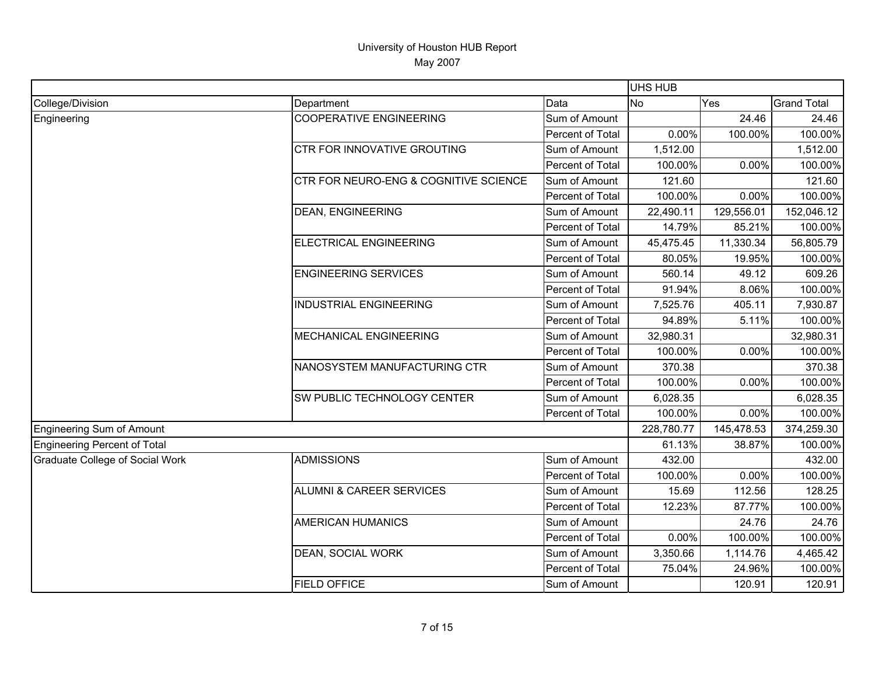|                                 |                                       |                  | UHS HUB    |            |                    |
|---------------------------------|---------------------------------------|------------------|------------|------------|--------------------|
| College/Division                | Department                            | Data             | <b>No</b>  | Yes        | <b>Grand Total</b> |
| Engineering                     | <b>COOPERATIVE ENGINEERING</b>        | Sum of Amount    |            | 24.46      | 24.46              |
|                                 |                                       | Percent of Total | 0.00%      | 100.00%    | 100.00%            |
|                                 | <b>CTR FOR INNOVATIVE GROUTING</b>    | Sum of Amount    | 1,512.00   |            | 1,512.00           |
|                                 |                                       | Percent of Total | 100.00%    | 0.00%      | 100.00%            |
|                                 | CTR FOR NEURO-ENG & COGNITIVE SCIENCE | Sum of Amount    | 121.60     |            | 121.60             |
|                                 |                                       | Percent of Total | 100.00%    | 0.00%      | 100.00%            |
|                                 | <b>DEAN, ENGINEERING</b>              | Sum of Amount    | 22,490.11  | 129,556.01 | 152,046.12         |
|                                 |                                       | Percent of Total | 14.79%     | 85.21%     | 100.00%            |
|                                 | ELECTRICAL ENGINEERING                | Sum of Amount    | 45,475.45  | 11,330.34  | 56,805.79          |
|                                 |                                       | Percent of Total | 80.05%     | 19.95%     | 100.00%            |
|                                 | <b>ENGINEERING SERVICES</b>           | Sum of Amount    | 560.14     | 49.12      | 609.26             |
|                                 |                                       | Percent of Total | 91.94%     | 8.06%      | 100.00%            |
|                                 | <b>INDUSTRIAL ENGINEERING</b>         | Sum of Amount    | 7,525.76   | 405.11     | 7,930.87           |
|                                 |                                       | Percent of Total | 94.89%     | 5.11%      | 100.00%            |
|                                 | <b>MECHANICAL ENGINEERING</b>         | Sum of Amount    | 32,980.31  |            | 32,980.31          |
|                                 |                                       | Percent of Total | 100.00%    | 0.00%      | 100.00%            |
|                                 | NANOSYSTEM MANUFACTURING CTR          | Sum of Amount    | 370.38     |            | 370.38             |
|                                 |                                       | Percent of Total | 100.00%    | 0.00%      | 100.00%            |
|                                 | SW PUBLIC TECHNOLOGY CENTER           | Sum of Amount    | 6,028.35   |            | 6,028.35           |
|                                 |                                       | Percent of Total | 100.00%    | 0.00%      | 100.00%            |
| Engineering Sum of Amount       |                                       |                  | 228,780.77 | 145,478.53 | 374,259.30         |
| Engineering Percent of Total    |                                       |                  | 61.13%     | 38.87%     | 100.00%            |
| Graduate College of Social Work | <b>ADMISSIONS</b>                     | Sum of Amount    | 432.00     |            | 432.00             |
|                                 |                                       | Percent of Total | 100.00%    | 0.00%      | 100.00%            |
|                                 | <b>ALUMNI &amp; CAREER SERVICES</b>   | Sum of Amount    | 15.69      | 112.56     | 128.25             |
|                                 |                                       | Percent of Total | 12.23%     | 87.77%     | 100.00%            |
|                                 | <b>AMERICAN HUMANICS</b>              | Sum of Amount    |            | 24.76      | 24.76              |
|                                 |                                       | Percent of Total | 0.00%      | 100.00%    | 100.00%            |
|                                 | <b>DEAN, SOCIAL WORK</b>              | Sum of Amount    | 3,350.66   | 1,114.76   | 4,465.42           |
|                                 |                                       | Percent of Total | 75.04%     | 24.96%     | 100.00%            |
|                                 | <b>FIELD OFFICE</b>                   | Sum of Amount    |            | 120.91     | 120.91             |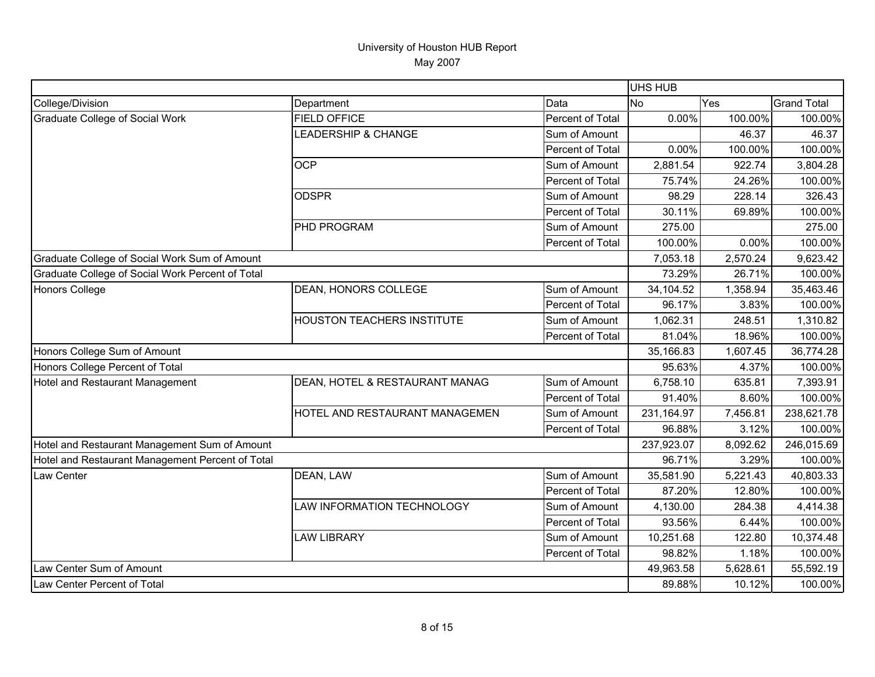|                                                  |                                   |                  | <b>UHS HUB</b> |          |                    |
|--------------------------------------------------|-----------------------------------|------------------|----------------|----------|--------------------|
| College/Division                                 | Department                        | Data             | No             | Yes      | <b>Grand Total</b> |
| Graduate College of Social Work                  | <b>FIELD OFFICE</b>               | Percent of Total | 0.00%          | 100.00%  | 100.00%            |
|                                                  | <b>LEADERSHIP &amp; CHANGE</b>    | Sum of Amount    |                | 46.37    | 46.37              |
|                                                  |                                   | Percent of Total | 0.00%          | 100.00%  | 100.00%            |
|                                                  | <b>OCP</b>                        | Sum of Amount    | 2,881.54       | 922.74   | 3,804.28           |
|                                                  |                                   | Percent of Total | 75.74%         | 24.26%   | 100.00%            |
|                                                  | <b>ODSPR</b>                      | Sum of Amount    | 98.29          | 228.14   | 326.43             |
|                                                  |                                   | Percent of Total | 30.11%         | 69.89%   | 100.00%            |
|                                                  | PHD PROGRAM                       | Sum of Amount    | 275.00         |          | 275.00             |
|                                                  |                                   | Percent of Total | 100.00%        | 0.00%    | 100.00%            |
| Graduate College of Social Work Sum of Amount    |                                   |                  | 7,053.18       | 2,570.24 | 9,623.42           |
| Graduate College of Social Work Percent of Total |                                   |                  | 73.29%         | 26.71%   | 100.00%            |
| Honors College                                   | DEAN, HONORS COLLEGE              | Sum of Amount    | 34,104.52      | 1,358.94 | 35,463.46          |
|                                                  |                                   | Percent of Total | 96.17%         | 3.83%    | 100.00%            |
|                                                  | <b>HOUSTON TEACHERS INSTITUTE</b> | Sum of Amount    | 1,062.31       | 248.51   | 1,310.82           |
|                                                  |                                   | Percent of Total | 81.04%         | 18.96%   | 100.00%            |
| Honors College Sum of Amount                     |                                   |                  | 35,166.83      | 1,607.45 | 36,774.28          |
| Honors College Percent of Total                  |                                   |                  | 95.63%         | 4.37%    | 100.00%            |
| Hotel and Restaurant Management                  | DEAN, HOTEL & RESTAURANT MANAG    | Sum of Amount    | 6,758.10       | 635.81   | 7,393.91           |
|                                                  |                                   | Percent of Total | 91.40%         | 8.60%    | 100.00%            |
|                                                  | HOTEL AND RESTAURANT MANAGEMEN    | Sum of Amount    | 231,164.97     | 7,456.81 | 238,621.78         |
|                                                  |                                   | Percent of Total | 96.88%         | 3.12%    | 100.00%            |
| Hotel and Restaurant Management Sum of Amount    |                                   |                  | 237,923.07     | 8,092.62 | 246,015.69         |
| Hotel and Restaurant Management Percent of Total |                                   |                  | 96.71%         | 3.29%    | 100.00%            |
| Law Center                                       | DEAN, LAW                         | Sum of Amount    | 35,581.90      | 5,221.43 | 40,803.33          |
|                                                  |                                   | Percent of Total | 87.20%         | 12.80%   | 100.00%            |
|                                                  | LAW INFORMATION TECHNOLOGY        | Sum of Amount    | 4,130.00       | 284.38   | 4,414.38           |
|                                                  |                                   | Percent of Total | 93.56%         | 6.44%    | 100.00%            |
|                                                  | <b>LAW LIBRARY</b>                | Sum of Amount    | 10,251.68      | 122.80   | 10,374.48          |
|                                                  |                                   | Percent of Total | 98.82%         | 1.18%    | 100.00%            |
| Law Center Sum of Amount                         |                                   |                  | 49,963.58      | 5,628.61 | 55,592.19          |
| Law Center Percent of Total                      |                                   |                  | 89.88%         | 10.12%   | 100.00%            |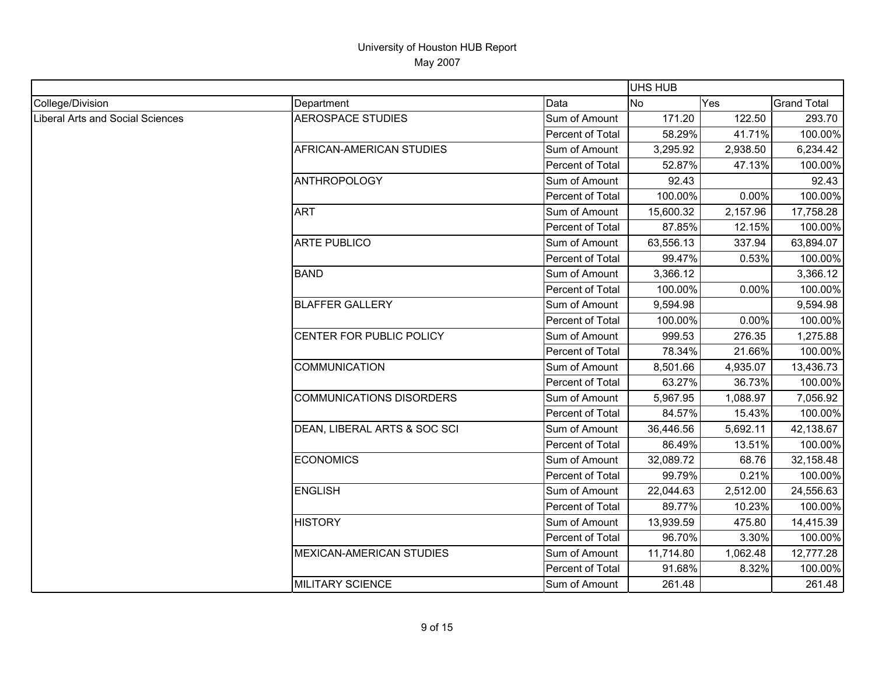|                                         |                                 |                  | <b>UHS HUB</b> |          |                    |
|-----------------------------------------|---------------------------------|------------------|----------------|----------|--------------------|
| College/Division                        | Department                      | Data             | No             | Yes      | <b>Grand Total</b> |
| <b>Liberal Arts and Social Sciences</b> | <b>AEROSPACE STUDIES</b>        | Sum of Amount    | 171.20         | 122.50   | 293.70             |
|                                         |                                 | Percent of Total | 58.29%         | 41.71%   | 100.00%            |
|                                         | AFRICAN-AMERICAN STUDIES        | Sum of Amount    | 3,295.92       | 2,938.50 | 6,234.42           |
|                                         |                                 | Percent of Total | 52.87%         | 47.13%   | 100.00%            |
|                                         | <b>ANTHROPOLOGY</b>             | Sum of Amount    | 92.43          |          | 92.43              |
|                                         |                                 | Percent of Total | 100.00%        | 0.00%    | 100.00%            |
|                                         | <b>ART</b>                      | Sum of Amount    | 15,600.32      | 2,157.96 | 17,758.28          |
|                                         |                                 | Percent of Total | 87.85%         | 12.15%   | 100.00%            |
|                                         | <b>ARTE PUBLICO</b>             | Sum of Amount    | 63,556.13      | 337.94   | 63,894.07          |
|                                         |                                 | Percent of Total | 99.47%         | 0.53%    | 100.00%            |
|                                         | <b>BAND</b>                     | Sum of Amount    | 3,366.12       |          | 3,366.12           |
|                                         |                                 | Percent of Total | 100.00%        | 0.00%    | 100.00%            |
|                                         | <b>BLAFFER GALLERY</b>          | Sum of Amount    | 9,594.98       |          | 9,594.98           |
|                                         |                                 | Percent of Total | 100.00%        | 0.00%    | 100.00%            |
|                                         | CENTER FOR PUBLIC POLICY        | Sum of Amount    | 999.53         | 276.35   | 1,275.88           |
|                                         |                                 | Percent of Total | 78.34%         | 21.66%   | 100.00%            |
|                                         | <b>COMMUNICATION</b>            | Sum of Amount    | 8,501.66       | 4,935.07 | 13,436.73          |
|                                         |                                 | Percent of Total | 63.27%         | 36.73%   | 100.00%            |
|                                         | <b>COMMUNICATIONS DISORDERS</b> | Sum of Amount    | 5,967.95       | 1,088.97 | 7,056.92           |
|                                         |                                 | Percent of Total | 84.57%         | 15.43%   | 100.00%            |
|                                         | DEAN, LIBERAL ARTS & SOC SCI    | Sum of Amount    | 36,446.56      | 5,692.11 | 42,138.67          |
|                                         |                                 | Percent of Total | 86.49%         | 13.51%   | 100.00%            |
|                                         | <b>ECONOMICS</b>                | Sum of Amount    | 32,089.72      | 68.76    | 32,158.48          |
|                                         |                                 | Percent of Total | 99.79%         | 0.21%    | 100.00%            |
|                                         | <b>ENGLISH</b>                  | Sum of Amount    | 22,044.63      | 2,512.00 | 24,556.63          |
|                                         |                                 | Percent of Total | 89.77%         | 10.23%   | 100.00%            |
|                                         | <b>HISTORY</b>                  | Sum of Amount    | 13,939.59      | 475.80   | 14,415.39          |
|                                         |                                 | Percent of Total | 96.70%         | 3.30%    | 100.00%            |
|                                         | <b>MEXICAN-AMERICAN STUDIES</b> | Sum of Amount    | 11,714.80      | 1,062.48 | 12,777.28          |
|                                         |                                 | Percent of Total | 91.68%         | 8.32%    | 100.00%            |
|                                         | <b>MILITARY SCIENCE</b>         | Sum of Amount    | 261.48         |          | 261.48             |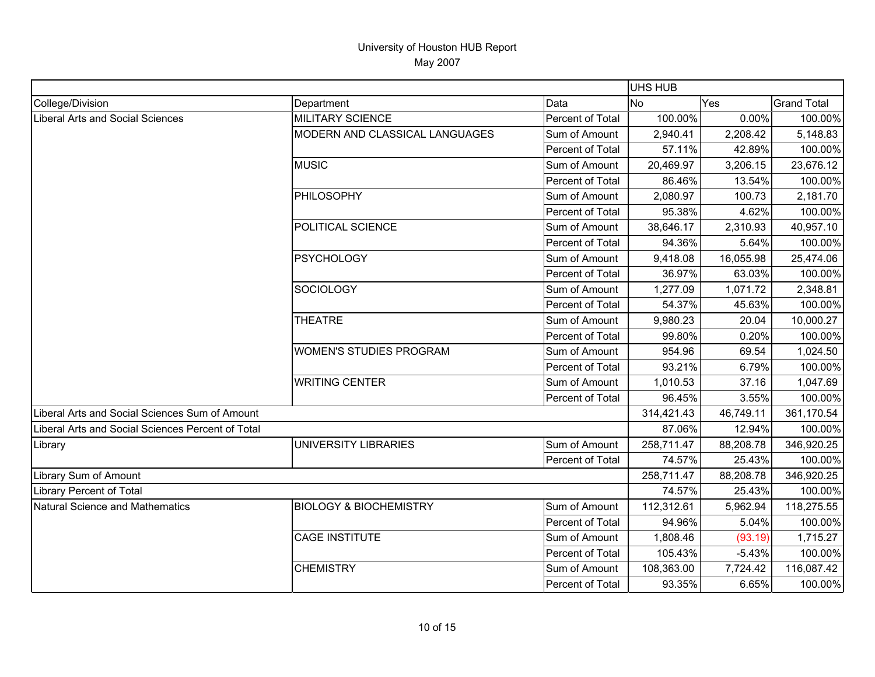|                                                   |                                   |                  | UHS HUB    |           |                    |
|---------------------------------------------------|-----------------------------------|------------------|------------|-----------|--------------------|
| College/Division                                  | Department                        | Data             | <b>No</b>  | Yes       | <b>Grand Total</b> |
| <b>Liberal Arts and Social Sciences</b>           | <b>MILITARY SCIENCE</b>           | Percent of Total | 100.00%    | 0.00%     | 100.00%            |
|                                                   | MODERN AND CLASSICAL LANGUAGES    | Sum of Amount    | 2,940.41   | 2,208.42  | 5,148.83           |
|                                                   |                                   | Percent of Total | 57.11%     | 42.89%    | 100.00%            |
|                                                   | <b>MUSIC</b>                      | Sum of Amount    | 20,469.97  | 3,206.15  | 23,676.12          |
|                                                   |                                   | Percent of Total | 86.46%     | 13.54%    | 100.00%            |
|                                                   | PHILOSOPHY                        | Sum of Amount    | 2,080.97   | 100.73    | 2,181.70           |
|                                                   |                                   | Percent of Total | 95.38%     | 4.62%     | 100.00%            |
|                                                   | POLITICAL SCIENCE                 | Sum of Amount    | 38,646.17  | 2,310.93  | 40,957.10          |
|                                                   |                                   | Percent of Total | 94.36%     | 5.64%     | 100.00%            |
|                                                   | <b>PSYCHOLOGY</b>                 | Sum of Amount    | 9,418.08   | 16,055.98 | 25,474.06          |
|                                                   |                                   | Percent of Total | 36.97%     | 63.03%    | 100.00%            |
|                                                   | <b>SOCIOLOGY</b>                  | Sum of Amount    | 1,277.09   | 1,071.72  | 2,348.81           |
|                                                   |                                   | Percent of Total | 54.37%     | 45.63%    | 100.00%            |
|                                                   | <b>THEATRE</b>                    | Sum of Amount    | 9,980.23   | 20.04     | 10,000.27          |
|                                                   |                                   | Percent of Total | 99.80%     | 0.20%     | 100.00%            |
|                                                   | <b>WOMEN'S STUDIES PROGRAM</b>    | Sum of Amount    | 954.96     | 69.54     | 1,024.50           |
|                                                   |                                   | Percent of Total | 93.21%     | 6.79%     | 100.00%            |
|                                                   | <b>WRITING CENTER</b>             | Sum of Amount    | 1,010.53   | 37.16     | 1,047.69           |
|                                                   |                                   | Percent of Total | 96.45%     | 3.55%     | 100.00%            |
| Liberal Arts and Social Sciences Sum of Amount    |                                   |                  | 314,421.43 | 46,749.11 | 361,170.54         |
| Liberal Arts and Social Sciences Percent of Total |                                   |                  | 87.06%     | 12.94%    | 100.00%            |
| Library                                           | UNIVERSITY LIBRARIES              | Sum of Amount    | 258,711.47 | 88,208.78 | 346,920.25         |
|                                                   |                                   | Percent of Total | 74.57%     | 25.43%    | 100.00%            |
| Library Sum of Amount                             |                                   |                  | 258,711.47 | 88,208.78 | 346,920.25         |
| <b>Library Percent of Total</b>                   |                                   |                  | 74.57%     | 25.43%    | 100.00%            |
| <b>Natural Science and Mathematics</b>            | <b>BIOLOGY &amp; BIOCHEMISTRY</b> | Sum of Amount    | 112,312.61 | 5,962.94  | 118,275.55         |
|                                                   |                                   | Percent of Total | 94.96%     | 5.04%     | 100.00%            |
|                                                   | <b>CAGE INSTITUTE</b>             | Sum of Amount    | 1,808.46   | (93.19)   | 1,715.27           |
|                                                   |                                   | Percent of Total | 105.43%    | $-5.43%$  | 100.00%            |
|                                                   | <b>CHEMISTRY</b>                  | Sum of Amount    | 108,363.00 | 7,724.42  | 116,087.42         |
|                                                   |                                   | Percent of Total | 93.35%     | 6.65%     | 100.00%            |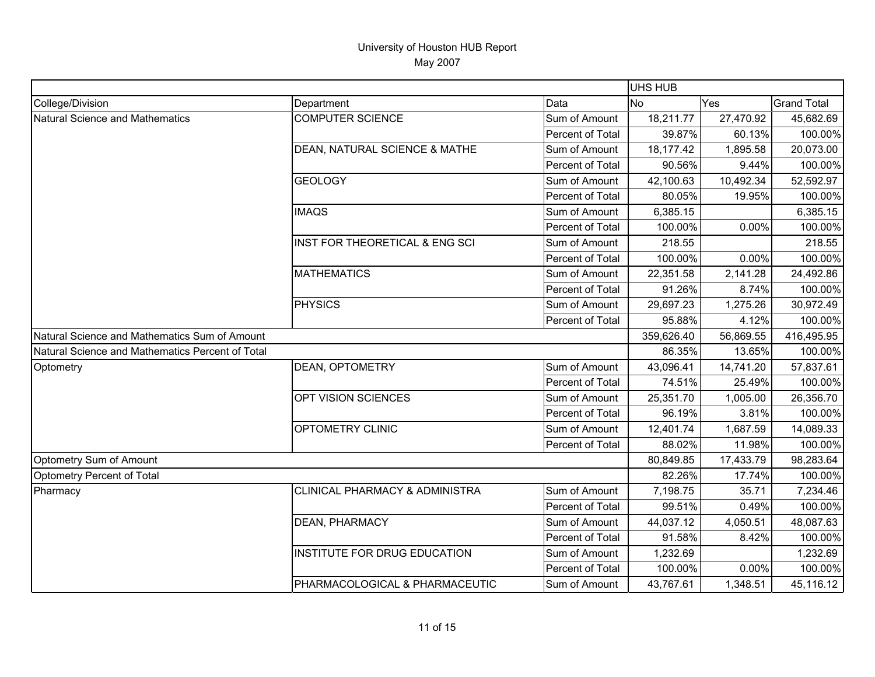|                                                  |                                           |                  | <b>UHS HUB</b> |           |                    |
|--------------------------------------------------|-------------------------------------------|------------------|----------------|-----------|--------------------|
| College/Division                                 | Department                                | Data             | No             | Yes       | <b>Grand Total</b> |
| <b>Natural Science and Mathematics</b>           | <b>COMPUTER SCIENCE</b>                   | Sum of Amount    | 18,211.77      | 27,470.92 | 45,682.69          |
|                                                  |                                           | Percent of Total | 39.87%         | 60.13%    | 100.00%            |
|                                                  | DEAN, NATURAL SCIENCE & MATHE             | Sum of Amount    | 18,177.42      | 1,895.58  | 20,073.00          |
|                                                  |                                           | Percent of Total | 90.56%         | 9.44%     | 100.00%            |
|                                                  | <b>GEOLOGY</b>                            | Sum of Amount    | 42,100.63      | 10,492.34 | 52,592.97          |
|                                                  |                                           | Percent of Total | 80.05%         | 19.95%    | 100.00%            |
|                                                  | <b>IMAQS</b>                              | Sum of Amount    | 6,385.15       |           | 6,385.15           |
|                                                  |                                           | Percent of Total | 100.00%        | 0.00%     | 100.00%            |
|                                                  | INST FOR THEORETICAL & ENG SCI            | Sum of Amount    | 218.55         |           | 218.55             |
|                                                  |                                           | Percent of Total | 100.00%        | 0.00%     | 100.00%            |
|                                                  | <b>MATHEMATICS</b>                        | Sum of Amount    | 22,351.58      | 2,141.28  | 24,492.86          |
|                                                  |                                           | Percent of Total | 91.26%         | 8.74%     | 100.00%            |
|                                                  | <b>PHYSICS</b>                            | Sum of Amount    | 29,697.23      | 1,275.26  | 30,972.49          |
|                                                  |                                           | Percent of Total | 95.88%         | 4.12%     | 100.00%            |
| Natural Science and Mathematics Sum of Amount    |                                           |                  | 359,626.40     | 56,869.55 | 416,495.95         |
| Natural Science and Mathematics Percent of Total |                                           |                  | 86.35%         | 13.65%    | 100.00%            |
| Optometry                                        | <b>DEAN, OPTOMETRY</b>                    | Sum of Amount    | 43,096.41      | 14,741.20 | 57,837.61          |
|                                                  |                                           | Percent of Total | 74.51%         | 25.49%    | 100.00%            |
|                                                  | OPT VISION SCIENCES                       | Sum of Amount    | 25,351.70      | 1,005.00  | 26,356.70          |
|                                                  |                                           | Percent of Total | 96.19%         | 3.81%     | 100.00%            |
|                                                  | OPTOMETRY CLINIC                          | Sum of Amount    | 12,401.74      | 1,687.59  | 14,089.33          |
|                                                  |                                           | Percent of Total | 88.02%         | 11.98%    | 100.00%            |
| Optometry Sum of Amount                          |                                           |                  | 80,849.85      | 17,433.79 | 98,283.64          |
| Optometry Percent of Total                       |                                           |                  | 82.26%         | 17.74%    | 100.00%            |
| Pharmacy                                         | <b>CLINICAL PHARMACY &amp; ADMINISTRA</b> | Sum of Amount    | 7,198.75       | 35.71     | 7,234.46           |
|                                                  |                                           | Percent of Total | 99.51%         | 0.49%     | 100.00%            |
|                                                  | DEAN, PHARMACY                            | Sum of Amount    | 44,037.12      | 4,050.51  | 48,087.63          |
|                                                  |                                           | Percent of Total | 91.58%         | 8.42%     | 100.00%            |
|                                                  | INSTITUTE FOR DRUG EDUCATION              | Sum of Amount    | 1,232.69       |           | 1,232.69           |
|                                                  |                                           | Percent of Total | 100.00%        | 0.00%     | 100.00%            |
|                                                  | PHARMACOLOGICAL & PHARMACEUTIC            | Sum of Amount    | 43,767.61      | 1,348.51  | 45,116.12          |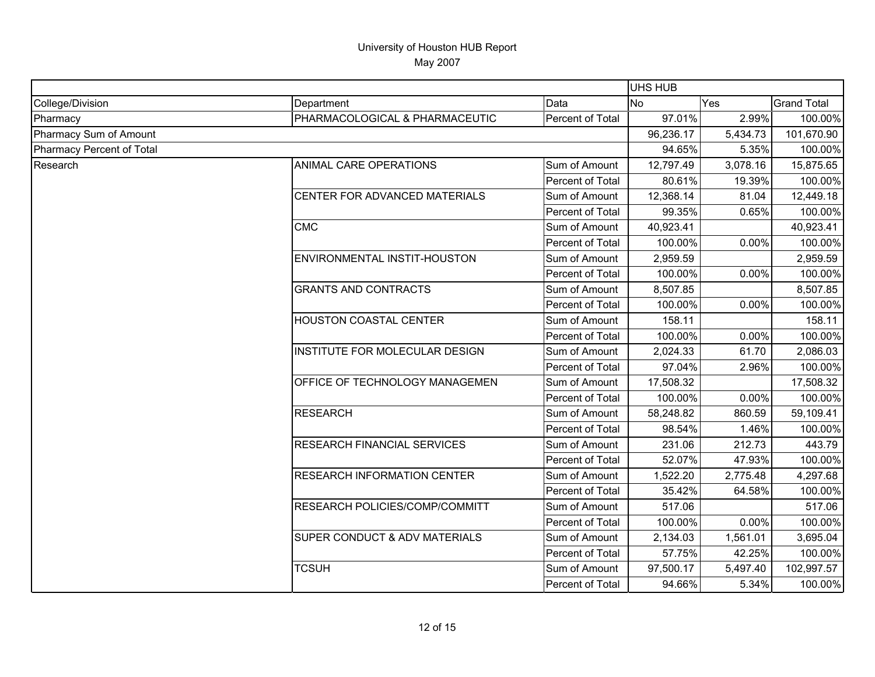|                           |                                          |                  | <b>UHS HUB</b> |          |                    |
|---------------------------|------------------------------------------|------------------|----------------|----------|--------------------|
| College/Division          | Department                               | Data             | <b>No</b>      | Yes      | <b>Grand Total</b> |
| Pharmacy                  | PHARMACOLOGICAL & PHARMACEUTIC           | Percent of Total | 97.01%         | 2.99%    | 100.00%            |
| Pharmacy Sum of Amount    |                                          |                  | 96,236.17      | 5,434.73 | 101,670.90         |
| Pharmacy Percent of Total |                                          |                  | 94.65%         | 5.35%    | 100.00%            |
| Research                  | ANIMAL CARE OPERATIONS                   | Sum of Amount    | 12,797.49      | 3,078.16 | 15,875.65          |
|                           |                                          | Percent of Total | 80.61%         | 19.39%   | 100.00%            |
|                           | CENTER FOR ADVANCED MATERIALS            | Sum of Amount    | 12,368.14      | 81.04    | 12,449.18          |
|                           |                                          | Percent of Total | 99.35%         | 0.65%    | 100.00%            |
|                           | <b>CMC</b>                               | Sum of Amount    | 40,923.41      |          | 40,923.41          |
|                           |                                          | Percent of Total | 100.00%        | 0.00%    | 100.00%            |
|                           | ENVIRONMENTAL INSTIT-HOUSTON             | Sum of Amount    | 2,959.59       |          | 2,959.59           |
|                           |                                          | Percent of Total | 100.00%        | 0.00%    | 100.00%            |
|                           | <b>GRANTS AND CONTRACTS</b>              | Sum of Amount    | 8,507.85       |          | 8,507.85           |
|                           |                                          | Percent of Total | 100.00%        | 0.00%    | 100.00%            |
|                           | HOUSTON COASTAL CENTER                   | Sum of Amount    | 158.11         |          | 158.11             |
|                           |                                          | Percent of Total | 100.00%        | 0.00%    | 100.00%            |
|                           | INSTITUTE FOR MOLECULAR DESIGN           | Sum of Amount    | 2,024.33       | 61.70    | 2,086.03           |
|                           |                                          | Percent of Total | 97.04%         | 2.96%    | 100.00%            |
|                           | OFFICE OF TECHNOLOGY MANAGEMEN           | Sum of Amount    | 17,508.32      |          | 17,508.32          |
|                           |                                          | Percent of Total | 100.00%        | 0.00%    | 100.00%            |
|                           | <b>RESEARCH</b>                          | Sum of Amount    | 58,248.82      | 860.59   | 59,109.41          |
|                           |                                          | Percent of Total | 98.54%         | 1.46%    | 100.00%            |
|                           | RESEARCH FINANCIAL SERVICES              | Sum of Amount    | 231.06         | 212.73   | 443.79             |
|                           |                                          | Percent of Total | 52.07%         | 47.93%   | 100.00%            |
|                           | <b>RESEARCH INFORMATION CENTER</b>       | Sum of Amount    | 1,522.20       | 2,775.48 | 4,297.68           |
|                           |                                          | Percent of Total | 35.42%         | 64.58%   | 100.00%            |
|                           | RESEARCH POLICIES/COMP/COMMITT           | Sum of Amount    | 517.06         |          | 517.06             |
|                           |                                          | Percent of Total | 100.00%        | 0.00%    | 100.00%            |
|                           | <b>SUPER CONDUCT &amp; ADV MATERIALS</b> | Sum of Amount    | 2,134.03       | 1,561.01 | 3,695.04           |
|                           |                                          | Percent of Total | 57.75%         | 42.25%   | 100.00%            |
|                           | <b>TCSUH</b>                             | Sum of Amount    | 97,500.17      | 5,497.40 | 102,997.57         |
|                           |                                          | Percent of Total | 94.66%         | 5.34%    | 100.00%            |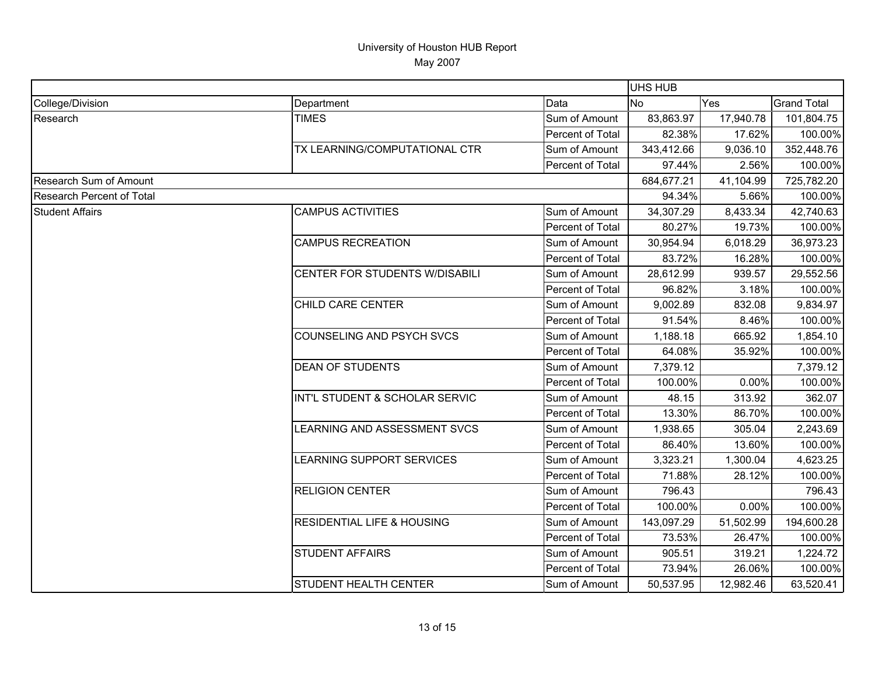|                               |                                       |                  |            | UHS HUB   |                    |  |
|-------------------------------|---------------------------------------|------------------|------------|-----------|--------------------|--|
| College/Division              | Department                            | Data             | <b>No</b>  | Yes       | <b>Grand Total</b> |  |
| Research                      | <b>TIMES</b>                          | Sum of Amount    | 83,863.97  | 17,940.78 | 101,804.75         |  |
|                               |                                       | Percent of Total | 82.38%     | 17.62%    | 100.00%            |  |
|                               | TX LEARNING/COMPUTATIONAL CTR         | Sum of Amount    | 343,412.66 | 9,036.10  | 352,448.76         |  |
|                               |                                       | Percent of Total | 97.44%     | 2.56%     | 100.00%            |  |
| <b>Research Sum of Amount</b> |                                       |                  | 684,677.21 | 41,104.99 | 725,782.20         |  |
| Research Percent of Total     |                                       |                  | 94.34%     | 5.66%     | 100.00%            |  |
| <b>Student Affairs</b>        | <b>CAMPUS ACTIVITIES</b>              | Sum of Amount    | 34,307.29  | 8,433.34  | 42,740.63          |  |
|                               |                                       | Percent of Total | 80.27%     | 19.73%    | 100.00%            |  |
|                               | <b>CAMPUS RECREATION</b>              | Sum of Amount    | 30,954.94  | 6,018.29  | 36,973.23          |  |
|                               |                                       | Percent of Total | 83.72%     | 16.28%    | 100.00%            |  |
|                               | CENTER FOR STUDENTS W/DISABILI        | Sum of Amount    | 28,612.99  | 939.57    | 29,552.56          |  |
|                               |                                       | Percent of Total | 96.82%     | 3.18%     | 100.00%            |  |
|                               | CHILD CARE CENTER                     | Sum of Amount    | 9,002.89   | 832.08    | 9,834.97           |  |
|                               |                                       | Percent of Total | 91.54%     | 8.46%     | 100.00%            |  |
|                               | COUNSELING AND PSYCH SVCS             | Sum of Amount    | 1,188.18   | 665.92    | 1,854.10           |  |
|                               |                                       | Percent of Total | 64.08%     | 35.92%    | 100.00%            |  |
|                               | <b>DEAN OF STUDENTS</b>               | Sum of Amount    | 7,379.12   |           | 7,379.12           |  |
|                               |                                       | Percent of Total | 100.00%    | 0.00%     | 100.00%            |  |
|                               | INT'L STUDENT & SCHOLAR SERVIC        | Sum of Amount    | 48.15      | 313.92    | 362.07             |  |
|                               |                                       | Percent of Total | 13.30%     | 86.70%    | 100.00%            |  |
|                               | LEARNING AND ASSESSMENT SVCS          | Sum of Amount    | 1,938.65   | 305.04    | 2,243.69           |  |
|                               |                                       | Percent of Total | 86.40%     | 13.60%    | 100.00%            |  |
|                               | LEARNING SUPPORT SERVICES             | Sum of Amount    | 3,323.21   | 1,300.04  | 4,623.25           |  |
|                               |                                       | Percent of Total | 71.88%     | 28.12%    | 100.00%            |  |
|                               | <b>RELIGION CENTER</b>                | Sum of Amount    | 796.43     |           | 796.43             |  |
|                               |                                       | Percent of Total | 100.00%    | 0.00%     | 100.00%            |  |
|                               | <b>RESIDENTIAL LIFE &amp; HOUSING</b> | Sum of Amount    | 143,097.29 | 51,502.99 | 194,600.28         |  |
|                               |                                       | Percent of Total | 73.53%     | 26.47%    | 100.00%            |  |
|                               | <b>STUDENT AFFAIRS</b>                | Sum of Amount    | 905.51     | 319.21    | 1,224.72           |  |
|                               |                                       | Percent of Total | 73.94%     | 26.06%    | 100.00%            |  |
|                               | STUDENT HEALTH CENTER                 | Sum of Amount    | 50,537.95  | 12,982.46 | 63,520.41          |  |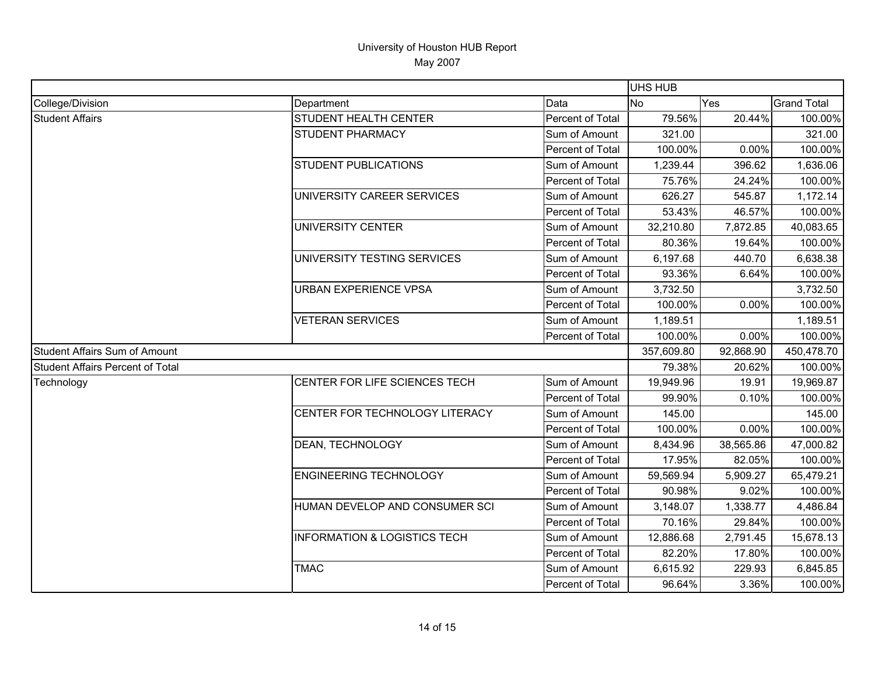|                                         |                                         |                  | <b>UHS HUB</b> |            |                    |
|-----------------------------------------|-----------------------------------------|------------------|----------------|------------|--------------------|
| College/Division                        | Department                              | Data             | <b>No</b>      | Yes        | <b>Grand Total</b> |
| <b>Student Affairs</b>                  | <b>STUDENT HEALTH CENTER</b>            | Percent of Total | 79.56%         | 20.44%     | 100.00%            |
|                                         | <b>STUDENT PHARMACY</b>                 | Sum of Amount    | 321.00         |            | 321.00             |
|                                         |                                         | Percent of Total | 100.00%        | 0.00%      | 100.00%            |
|                                         | <b>STUDENT PUBLICATIONS</b>             | Sum of Amount    | 1,239.44       | 396.62     | 1,636.06           |
|                                         |                                         | Percent of Total | 75.76%         | 24.24%     | 100.00%            |
|                                         | UNIVERSITY CAREER SERVICES              | Sum of Amount    | 626.27         | 545.87     | 1,172.14           |
|                                         |                                         | Percent of Total | 53.43%         | 46.57%     | 100.00%            |
|                                         | UNIVERSITY CENTER                       | Sum of Amount    | 32,210.80      | 7,872.85   | 40,083.65          |
|                                         |                                         | Percent of Total | 80.36%         | 19.64%     | 100.00%            |
|                                         | UNIVERSITY TESTING SERVICES             | Sum of Amount    | 6,197.68       | 440.70     | 6,638.38           |
|                                         |                                         | Percent of Total | 93.36%         | 6.64%      | 100.00%            |
|                                         | <b>URBAN EXPERIENCE VPSA</b>            | Sum of Amount    | 3,732.50       |            | 3,732.50           |
|                                         |                                         | Percent of Total | 100.00%        | 0.00%      | 100.00%            |
|                                         | <b>VETERAN SERVICES</b>                 | Sum of Amount    | 1,189.51       |            | 1,189.51           |
|                                         |                                         | Percent of Total | 100.00%        | 0.00%      | 100.00%            |
| <b>Student Affairs Sum of Amount</b>    |                                         | 357,609.80       | 92,868.90      | 450,478.70 |                    |
| <b>Student Affairs Percent of Total</b> |                                         | 79.38%           | 20.62%         | 100.00%    |                    |
| Technology                              | CENTER FOR LIFE SCIENCES TECH           | Sum of Amount    | 19,949.96      | 19.91      | 19,969.87          |
|                                         |                                         | Percent of Total | 99.90%         | 0.10%      | 100.00%            |
|                                         | CENTER FOR TECHNOLOGY LITERACY          | Sum of Amount    | 145.00         |            | 145.00             |
|                                         |                                         | Percent of Total | 100.00%        | 0.00%      | 100.00%            |
|                                         | DEAN, TECHNOLOGY                        | Sum of Amount    | 8,434.96       | 38,565.86  | 47,000.82          |
|                                         |                                         | Percent of Total | 17.95%         | 82.05%     | 100.00%            |
|                                         | <b>ENGINEERING TECHNOLOGY</b>           | Sum of Amount    | 59,569.94      | 5,909.27   | 65,479.21          |
|                                         |                                         | Percent of Total | 90.98%         | 9.02%      | 100.00%            |
|                                         | HUMAN DEVELOP AND CONSUMER SCI          | Sum of Amount    | 3,148.07       | 1,338.77   | 4,486.84           |
|                                         |                                         | Percent of Total | 70.16%         | 29.84%     | 100.00%            |
|                                         | <b>INFORMATION &amp; LOGISTICS TECH</b> | Sum of Amount    | 12,886.68      | 2,791.45   | 15,678.13          |
|                                         |                                         | Percent of Total | 82.20%         | 17.80%     | 100.00%            |
|                                         | <b>TMAC</b>                             | Sum of Amount    | 6,615.92       | 229.93     | 6,845.85           |
|                                         |                                         | Percent of Total | 96.64%         | 3.36%      | 100.00%            |